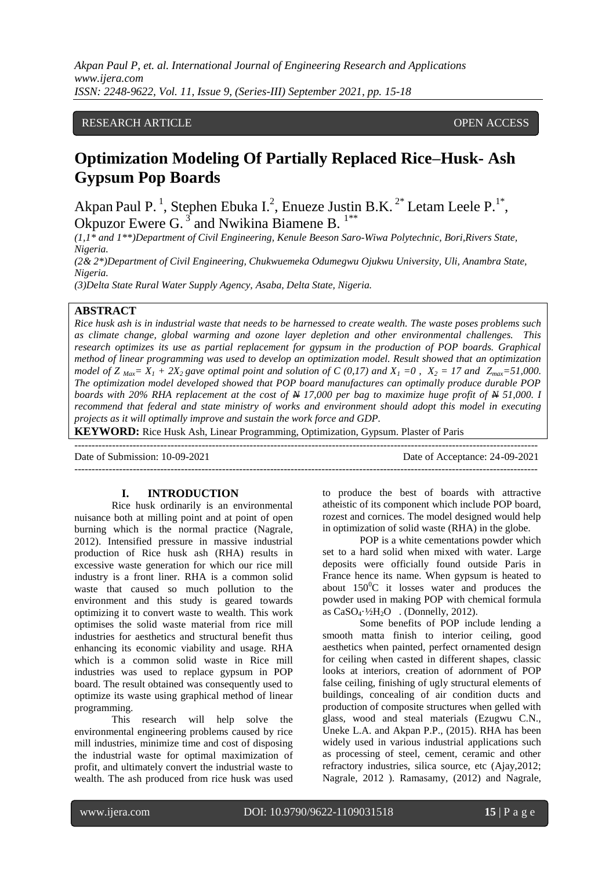*Akpan Paul P, et. al. International Journal of Engineering Research and Applications www.ijera.com ISSN: 2248-9622, Vol. 11, Issue 9, (Series-III) September 2021, pp. 15-18*

# RESEARCH ARTICLE OPEN ACCESS

# **Optimization Modeling Of Partially Replaced Rice–Husk- Ash Gypsum Pop Boards**

Akpan Paul P.<sup>1</sup>, Stephen Ebuka I.<sup>2</sup>, Enueze Justin B.K.<sup>2\*</sup> Letam Leele P.<sup>1\*</sup>, Okpuzor Ewere G. $3$  and Nwikina Biamene B.  $1***$ 

*(1,1\* and 1\*\*)Department of Civil Engineering, Kenule Beeson Saro-Wiwa Polytechnic, Bori,Rivers State, Nigeria.*

*(2& 2\*)Department of Civil Engineering, Chukwuemeka Odumegwu Ojukwu University, Uli, Anambra State, Nigeria.*

*(3)Delta State Rural Water Supply Agency, Asaba, Delta State, Nigeria.*

---------------------------------------------------------------------------------------------------------------------------------------

# **ABSTRACT**

*Rice husk ash is in industrial waste that needs to be harnessed to create wealth. The waste poses problems such as climate change, global warming and ozone layer depletion and other environmental challenges. This research optimizes its use as partial replacement for gypsum in the production of POP boards. Graphical method of linear programming was used to develop an optimization model. Result showed that an optimization model of Z*<sub>*Max</sub>*=  $X_1$  + 2 $X_2$  *gave optimal point and solution of C* (0,17) and  $X_1$  =0,  $X_2$  = 17 and  $Z_{max}$ =51,000.</sub> *The optimization model developed showed that POP board manufactures can optimally produce durable POP boards with 20% RHA replacement at the cost of N 17,000 per bag to maximize huge profit of N 51,000. I recommend that federal and state ministry of works and environment should adopt this model in executing projects as it will optimally improve and sustain the work force and GDP.*

**KEYWORD:** Rice Husk Ash, Linear Programming, Optimization, Gypsum. Plaster of Paris

Date of Submission: 10-09-2021 Date of Acceptance: 24-09-2021

 $-1-\frac{1}{2}$ 

## **I. INTRODUCTION**

Rice husk ordinarily is an environmental nuisance both at milling point and at point of open burning which is the normal practice (Nagrale, 2012). Intensified pressure in massive industrial production of Rice husk ash (RHA) results in excessive waste generation for which our rice mill industry is a front liner. RHA is a common solid waste that caused so much pollution to the environment and this study is geared towards optimizing it to convert waste to wealth. This work optimises the solid waste material from rice mill industries for aesthetics and structural benefit thus enhancing its economic viability and usage. RHA which is a common solid waste in Rice mill industries was used to replace gypsum in POP board. The result obtained was consequently used to optimize its waste using graphical method of linear programming.

This research will help solve the environmental engineering problems caused by rice mill industries, minimize time and cost of disposing the industrial waste for optimal maximization of profit, and ultimately convert the industrial waste to wealth. The ash produced from rice husk was used to produce the best of boards with attractive atheistic of its component which include POP board, rozest and cornices. The model designed would help in optimization of solid waste (RHA) in the globe.

POP is a white cementations powder which set to a hard solid when mixed with water. Large deposits were officially found outside Paris in France hence its name. When gypsum is heated to about  $150^{\circ}$ C it losses water and produces the powder used in making POP with chemical formula as  $CaSO_4 \cdot \frac{1}{2}H_2O$  . (Donnelly, 2012).

Some benefits of POP include lending a smooth matta finish to interior ceiling, good aesthetics when painted, perfect ornamented design for ceiling when casted in different shapes, classic looks at interiors, creation of adornment of POP false ceiling, finishing of ugly structural elements of buildings, concealing of air condition ducts and production of composite structures when gelled with glass, wood and steal materials (Ezugwu C.N., Uneke L.A. and Akpan P.P., (2015). RHA has been widely used in various industrial applications such as processing of steel, cement, ceramic and other refractory industries, silica source, etc (Ajay,2012; Nagrale, 2012 ). Ramasamy, (2012) and Nagrale,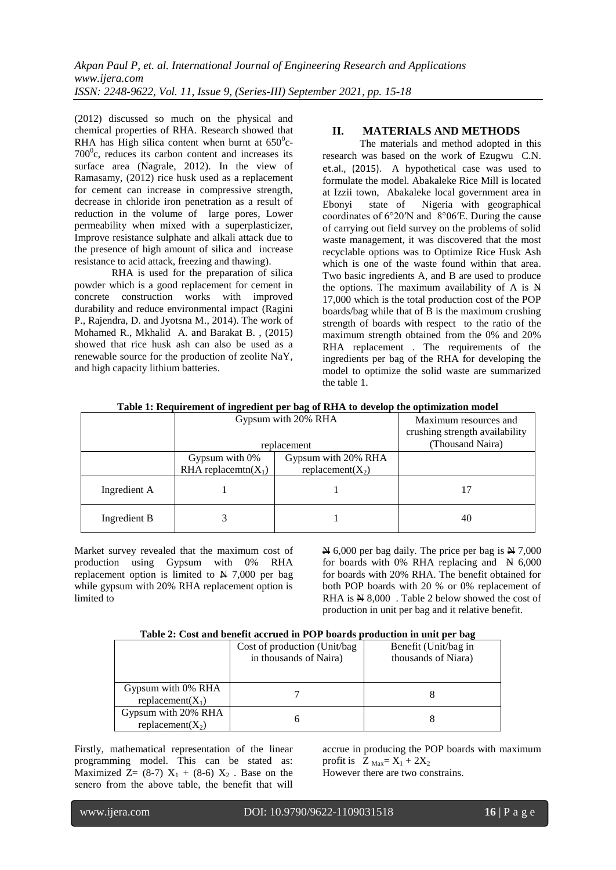(2012) discussed so much on the physical and chemical properties of RHA. Research showed that RHA has High silica content when burnt at  $650^{\circ}$ c- $700^{\circ}$ c, reduces its carbon content and increases its surface area (Nagrale, 2012). In the view of Ramasamy, (2012) rice husk used as a replacement for cement can increase in compressive strength, decrease in chloride iron penetration as a result of reduction in the volume of large pores, Lower permeability when mixed with a superplasticizer, Improve resistance sulphate and alkali attack due to the presence of high amount of silica and increase resistance to acid attack, freezing and thawing).

RHA is used for the preparation of silica powder which is a good replacement for cement in concrete construction works with improved durability and reduce environmental impact (Ragini P., Rajendra, D. and Jyotsna M., 2014). The work of Mohamed R., Mkhalid A. and Barakat B. , (2015) showed that rice husk ash can also be used as a renewable source for the production of zeolite NaY, and high capacity lithium batteries.

## **II. MATERIALS AND METHODS**

The materials and method adopted in this research was based on the work of Ezugwu C.N. et.al., (2015). A hypothetical case was used to formulate the model. Abakaleke Rice Mill is located at Izzii town, Abakaleke local government area in Ebonyi state of Nigeria with geographical coordinates of 6°20′N and 8°06′E. During the cause of carrying out field survey on the problems of solid waste management, it was discovered that the most recyclable options was to Optimize Rice Husk Ash which is one of the waste found within that area. Two basic ingredients A, and B are used to produce the options. The maximum availability of A is N 17,000 which is the total production cost of the POP boards/bag while that of B is the maximum crushing strength of boards with respect to the ratio of the maximum strength obtained from the 0% and 20% RHA replacement . The requirements of the ingredients per bag of the RHA for developing the model to optimize the solid waste are summarized the table 1.

|              | Gypsum with 20% RHA<br>replacement           |                                             | Maximum resources and<br>crushing strength availability<br>(Thousand Naira) |
|--------------|----------------------------------------------|---------------------------------------------|-----------------------------------------------------------------------------|
|              | Gypsum with $0\%$<br>RHA replacemtn( $X_1$ ) | Gypsum with 20% RHA<br>replacement( $X_2$ ) |                                                                             |
| Ingredient A |                                              |                                             |                                                                             |
| Ingredient B |                                              |                                             | 40                                                                          |

**Table 1: Requirement of ingredient per bag of RHA to develop the optimization model**

Market survey revealed that the maximum cost of production using Gypsum with 0% RHA replacement option is limited to  $N$  7,000 per bag while gypsum with 20% RHA replacement option is limited to

 $\cancel{\text{N}}$  6,000 per bag daily. The price per bag is  $\cancel{\text{N}}$  7,000 for boards with 0% RHA replacing and  $\overline{N}$  6,000 for boards with 20% RHA. The benefit obtained for both POP boards with 20 % or 0% replacement of RHA is N 8,000. Table 2 below showed the cost of production in unit per bag and it relative benefit.

| Table 2: Cost and benefit accrued in POP boards production in unit per bag |  |
|----------------------------------------------------------------------------|--|
|----------------------------------------------------------------------------|--|

|                      | Cost of production (Unit/bag) | Benefit (Unit/bag in |  |
|----------------------|-------------------------------|----------------------|--|
|                      | in thousands of Naira)        | thousands of Niara)  |  |
|                      |                               |                      |  |
| Gypsum with 0% RHA   |                               |                      |  |
| replacement( $X_1$ ) |                               |                      |  |
| Gypsum with 20% RHA  |                               |                      |  |
| replacement( $X_2$ ) |                               |                      |  |

Firstly, mathematical representation of the linear programming model. This can be stated as: Maximized Z= (8-7)  $X_1 + (8-6) X_2$ . Base on the senero from the above table, the benefit that will

accrue in producing the POP boards with maximum profit is  $Z_{\text{Max}} = X_1 + 2X_2$ 

However there are two constrains.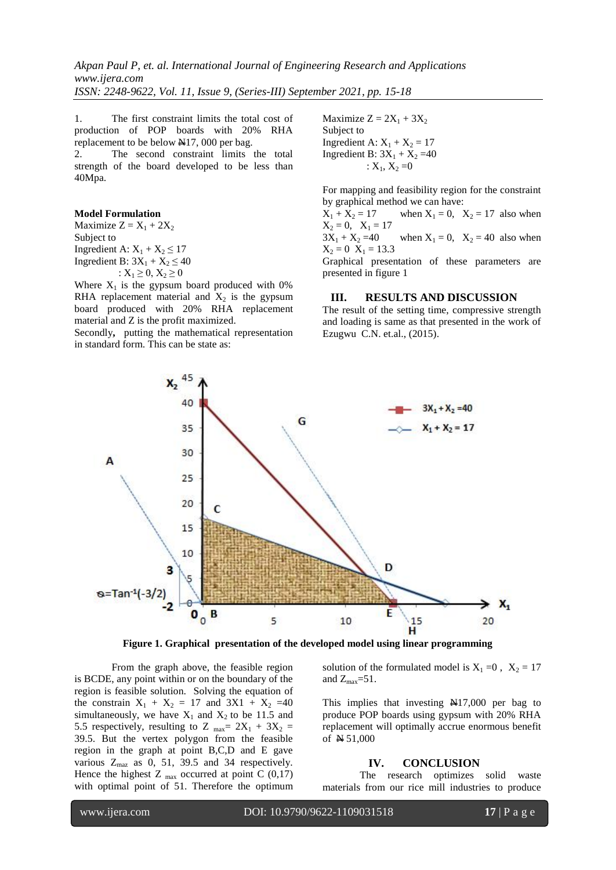*Akpan Paul P, et. al. International Journal of Engineering Research and Applications www.ijera.com ISSN: 2248-9622, Vol. 11, Issue 9, (Series-III) September 2021, pp. 15-18*

1. The first constraint limits the total cost of production of POP boards with 20% RHA replacement to be below N17, 000 per bag.

2. The second constraint limits the total strength of the board developed to be less than 40Mpa.

#### **Model Formulation**

Maximize  $Z = X_1 + 2X_2$ Subject to Ingredient A:  $X_1 + X_2 \le 17$ Ingredient B:  $3X_1 + X_2 \le 40$ :  $X_1 \geq 0, X_2 \geq 0$ 

Where  $X_1$  is the gypsum board produced with 0% RHA replacement material and  $X_2$  is the gypsum board produced with 20% RHA replacement material and Z is the profit maximized.

Secondly**,** putting the mathematical representation in standard form. This can be state as:

Maximize  $Z = 2X_1 + 3X_2$ Subject to Ingredient A:  $X_1 + X_2 = 17$ Ingredient B:  $3X_1 + X_2 = 40$ :  $X_1, X_2 = 0$ 

For mapping and feasibility region for the constraint by graphical method we can have:

 $X_1 + X_2 = 17$  when  $X_1 = 0$ ,  $X_2 = 17$  also when  $X_2 = 0$ ,  $X_1 = 17$ 

 $3X_1 + X_2 = 40$  when  $X_1 = 0$ ,  $X_2 = 40$  also when  $X_2 = 0$   $X_1 = 13.3$ 

Graphical presentation of these parameters are presented in figure 1

#### **III. RESULTS AND DISCUSSION**

The result of the setting time, compressive strength and loading is same as that presented in the work of Ezugwu C.N. et.al., (2015).



**Figure 1. Graphical presentation of the developed model using linear programming**

From the graph above, the feasible region is BCDE, any point within or on the boundary of the region is feasible solution. Solving the equation of the constrain  $X_1 + X_2 = 17$  and  $3X1 + X_2 = 40$ simultaneously, we have  $X_1$  and  $X_2$  to be 11.5 and 5.5 respectively, resulting to Z  $_{\text{max}}$  = 2X<sub>1</sub> + 3X<sub>2</sub> = 39.5. But the vertex polygon from the feasible region in the graph at point B,C,D and E gave various  $Z_{\text{max}}$  as 0, 51, 39.5 and 34 respectively. Hence the highest Z  $_{\text{max}}$  occurred at point C (0,17) with optimal point of 51. Therefore the optimum solution of the formulated model is  $X_1 = 0$ ,  $X_2 = 17$ and  $Z_{\text{max}} = 51$ .

This implies that investing N17,000 per bag to produce POP boards using gypsum with 20% RHA replacement will optimally accrue enormous benefit of N 51,000

#### **IV. CONCLUSION**

The research optimizes solid waste materials from our rice mill industries to produce